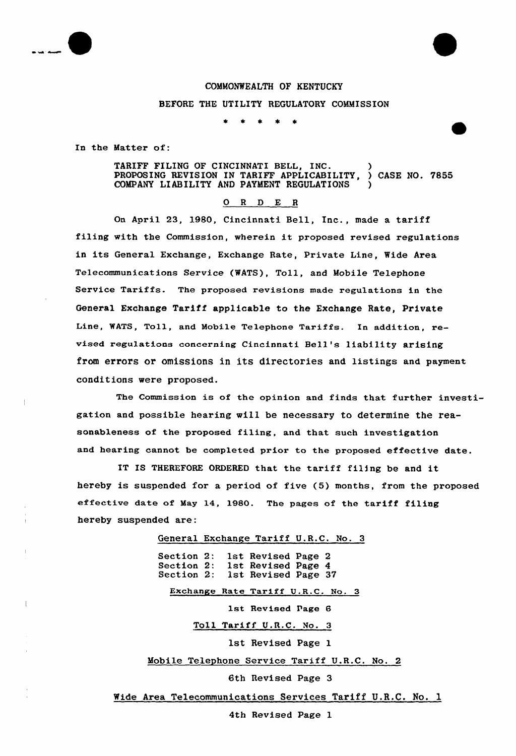

## COMMONWEALTH OF KENTUCKY

BEFORE THE UTILITY REGULATORY COMMISSION

 $\bullet$ 

In the Matter of:

TARIFF FILING OF CINCINNATI BELL, INC. (2008)<br>PROPOSING REVISION IN TARIFF APPLICABILITY. ) CASE NO. 7855 PROPOSING REVISION IN TARIFF APPLICABILITY. COMPANY LIABILITY AND PAYMENT REGULATIONS

## 0 <sup>R</sup> <sup>D</sup> E <sup>R</sup>

On April 23, 1980, Cincinnati Bell, Inc., made a tariff filing with the Commission, wherein it proposed revised regulations in its General Exchange, Exchange Rate, Private Line, Wide Area Telecommunications Service (WATS), Toll, and Mobile Telephone Service Tariffs. The proposed revisions made regulations in the General Exchange Tariff applicable to the Exchange Rate, Private Line, WATS, Toll, and Mobile Telephone Tariffs. In addition, revised regulations concerning Cincinnati Bell's liability arising from errors or omissions in its directories and listings and payment conditions were proposed.

The Commission is of the opinion and finds that further investigation and possible hearing will be necessary to determine the reasonableness of the proposed filing, and that such investigation and hearing cannot be completed prior to the proposed effective date.

IT IS THEREFORE ORDERED that the tariff filing be and it hereby is suspended for a period of five (5) months, from the proposed effective date of May 14, 1980. The pages of the tariff filing hereby suspended are:

> General Exchange Tariff U.R.C. No. 3 Section 2: 1st Revised Page 2<br>Section 2: 1st Revised Page 4 Section 2: 1st Revised Page 4<br>Section 2: 1st Revised Page 3 1st Revised Page 37 Exchange Rate Tariff U.R.C. No. 3 1st Revised Page 6 Toll Tariff U.R.C. No. 3 1st Revised Page 1 Mobile Telephone Service Tariff U.R.C. No. 2 6th Revised Page 3

Wide Area Telecommunications Services Tariff U.R.C. No. 1

4th Revised Page 1